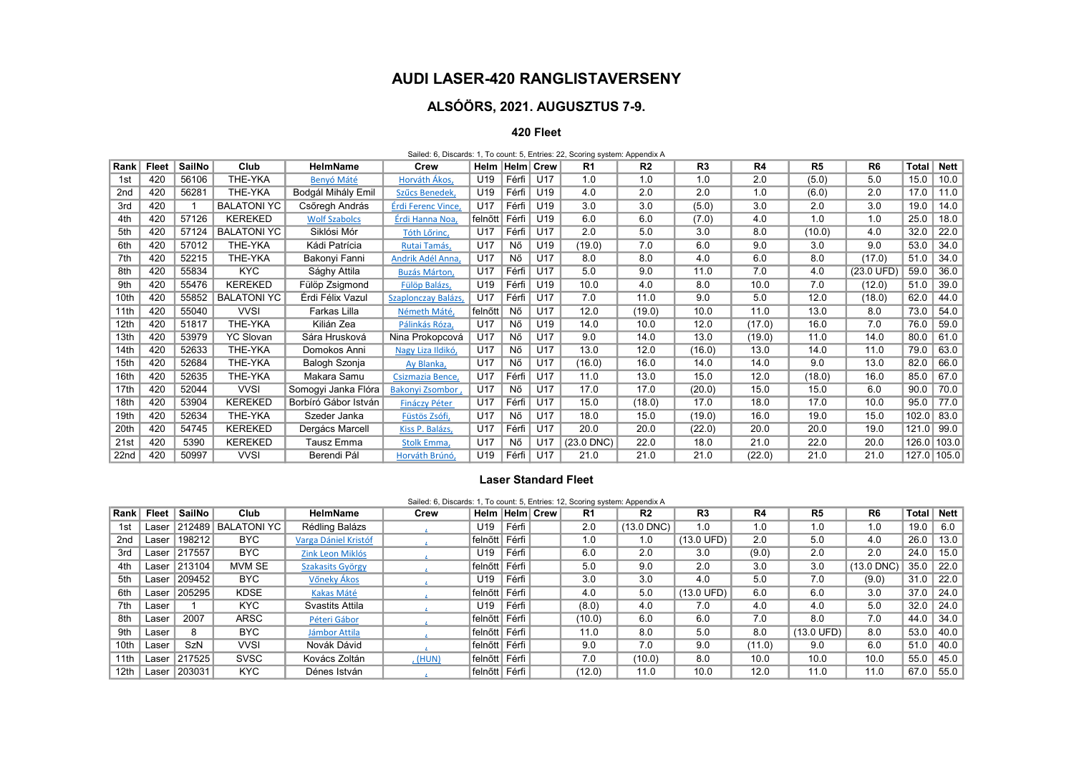## AUDI LASER-420 RANGLISTAVERSENY

# ALSÓÖRS, 2021. AUGUSZTUS 7-9.

#### 420 Fleet

|                 | Sailed: 6, Discards: 1, To count: 5, Entries: 22, Scoring system: Appendix A |        |                    |                      |                      |                    |       |                 |                |                |                |                |                |                      |              |             |
|-----------------|------------------------------------------------------------------------------|--------|--------------------|----------------------|----------------------|--------------------|-------|-----------------|----------------|----------------|----------------|----------------|----------------|----------------------|--------------|-------------|
| Rank            | Fleet                                                                        | SailNo | Club               | <b>HelmName</b>      | Crew                 | Helm   Helm   Crew |       |                 | R <sub>1</sub> | R <sub>2</sub> | R <sub>3</sub> | R <sub>4</sub> | R <sub>5</sub> | R <sub>6</sub>       | <b>Total</b> | Nett        |
| 1st             | 420                                                                          | 56106  | THE-YKA            | Benyó Máté           | Horváth Ákos,        | U19                | Férfi | U17             | 1.0            | 1.0            | 1.0            | 2.0            | (5.0)          | 5.0                  | 15.0         | 10.0        |
| 2 <sub>nd</sub> | 420                                                                          | 56281  | THE-YKA            | Bodgál Mihály Emil   | Szűcs Benedek,       | U19                | Férfi | U19             | 4.0            | 2.0            | 2.0            | 1.0            | (6.0)          | 2.0                  | 17.0         | 11.0        |
| 3rd             | 420                                                                          |        | <b>BALATONI YC</b> | Csőregh András       | Érdi Ferenc Vince,   | U17                | Férfi | U <sub>19</sub> | 3.0            | 3.0            | (5.0)          | 3.0            | 2.0            | 3.0                  | 19.0         | 14.0        |
| 4th             | 420                                                                          | 57126  | <b>KEREKED</b>     | <b>Wolf Szabolcs</b> | Érdi Hanna Noa,      | felnőtt ∣ Férfi    |       | U <sub>19</sub> | 6.0            | 6.0            | (7.0)          | 4.0            | 1.0            | 1.0                  | 25.0         | 18.0        |
| 5th             | 420                                                                          | 57124  | <b>BALATONI YC</b> | Siklósi Mór          | Tóth Lőrinc,         | U17                | Férfi | U17             | 2.0            | 5.0            | 3.0            | 8.0            | (10.0)         | 4.0                  | 32.0         | 22.0        |
| 6th             | 420                                                                          | 57012  | THE-YKA            | Kádi Patrícia        | Rutai Tamás,         | U <sub>17</sub>    | Nő    | U <sub>19</sub> | (19.0)         | 7.0            | 6.0            | 9.0            | 3.0            | 9.0                  | 53.0         | 34.0        |
| 7th             | 420                                                                          | 52215  | THE-YKA            | Bakonyi Fanni        | Andrik Adél Anna,    | U17                | Nő    | U17             | 8.0            | 8.0            | 4.0            | 6.0            | 8.0            | (17.0)               | 51.0         | 34.0        |
| 8th             | 420                                                                          | 55834  | KYC                | Sághy Attila         | <b>Buzás Márton,</b> | U17                | Férfi | U17             | 5.0            | 9.0            | 11.0           | 7.0            | 4.0            | $(23.0 \text{ UFD})$ | 59.0         | 36.0        |
| 9th             | 420                                                                          | 55476  | <b>KEREKED</b>     | Fülöp Zsigmond       | Fülöp Balázs,        | U19                | Férfi | U19             | 10.0           | 4.0            | 8.0            | 10.0           | 7.0            | (12.0)               | 51.0         | 39.0        |
| 10th            | 420                                                                          | 55852  | <b>BALATONI YC</b> | Érdi Félix Vazul     | Szaplonczay Balázs,  | U17                | Férfi | U17             | 7.0            | 11.0           | 9.0            | 5.0            | 12.0           | (18.0)               | 62.0         | 44.0        |
| 11th            | 420                                                                          | 55040  | <b>VVSI</b>        | Farkas Lilla         | Németh Máté,         | felnőtt            | Nő    | U17             | 12.0           | (19.0)         | 10.0           | 11.0           | 13.0           | 8.0                  | 73.0         | 54.0        |
| 12th            | 420                                                                          | 51817  | THE-YKA            | Kilián Zea           | Pálinkás Róza,       | U17                | Nő    | U19             | 14.0           | 10.0           | 12.0           | (17.0)         | 16.0           | 7.0                  | 76.0         | 59.0        |
| 13th            | 420                                                                          | 53979  | <b>YC Slovan</b>   | Sára Hrusková        | Nina Prokopcová      | U17                | Nő    | U17             | 9.0            | 14.0           | 13.0           | (19.0)         | 11.0           | 14.0                 | 80.0         | 61.0        |
| 14th            | 420                                                                          | 52633  | THE-YKA            | Domokos Anni         | Nagy Liza Ildikó,    | U17                | Nő    | U17             | 13.0           | 12.0           | (16.0)         | 13.0           | 14.0           | 11.0                 | 79.0         | 63.0        |
| 15th            | 420                                                                          | 52684  | THE-YKA            | Balogh Szonja        | Ay Blanka,           | U17                | Nő    | U17             | (16.0)         | 16.0           | 14.0           | 14.0           | 9.0            | 13.0                 | 82.0         | 66.0        |
| 16th            | 420                                                                          | 52635  | THE-YKA            | Makara Samu          | Csizmazia Bence.     | U17                | Férfi | U17             | 11.0           | 13.0           | 15.0           | 12.0           | (18.0)         | 16.0                 | 85.0         | 67.0        |
| 17th            | 420                                                                          | 52044  | <b>VVSI</b>        | Somogyi Janka Flóra  | Bakonyi Zsombor,     | U17                | Nő    | U <sub>17</sub> | 17.0           | 17.0           | (20.0)         | 15.0           | 15.0           | 6.0                  | 90.0         | 70.0        |
| 18th            | 420                                                                          | 53904  | <b>KEREKED</b>     | Borbíró Gábor István | <b>Fináczy Péter</b> | U17                | Férfi | U17             | 15.0           | (18.0)         | 17.0           | 18.0           | 17.0           | 10.0                 | 95.0         | 77.0        |
| 19th            | 420                                                                          | 52634  | THE-YKA            | Szeder Janka         | Füstös Zsófi,        | U17                | Nő    | U17             | 18.0           | 15.0           | (19.0)         | 16.0           | 19.0           | 15.0                 | 102.0        | 83.0        |
| 20th            | 420                                                                          | 54745  | <b>KEREKED</b>     | Dergács Marcell      | Kiss P. Balázs,      | U17                | Férfi | U17             | 20.0           | 20.0           | (22.0)         | 20.0           | 20.0           | 19.0                 | 121.0        | 99.0        |
| 21st            | 420                                                                          | 5390   | <b>KEREKED</b>     | Tausz Emma           | Stolk Emma,          | U17                | Nő    | U17             | $(23.0$ DNC)   | 22.0           | 18.0           | 21.0           | 22.0           | 20.0                 | 126.0        | 103.0       |
| 22nd            | 420                                                                          | 50997  | <b>VVSI</b>        | Berendi Pál          | Horváth Brúnó,       | U19                | Férfi | U17             | 21.0           | 21.0           | 21.0           | (22.0)         | 21.0           | 21.0                 |              | 127.0 105.0 |

## Laser Standard Fleet

### Sailed: 6, Discards: 1, To count: 5, Entries: 12, Scoring system: Appendix A

| Rank            | Fleet | SailNo | Club               | <b>HelmName</b>      | Crew    | Helm Helm Crew  |         | R1     | R <sub>2</sub> | R <sub>3</sub>       | R4     | R <sub>5</sub>       | R <sub>6</sub> | <b>Total</b> | Nett |
|-----------------|-------|--------|--------------------|----------------------|---------|-----------------|---------|--------|----------------|----------------------|--------|----------------------|----------------|--------------|------|
| 1st             | Laser | 212489 | <b>BALATONI YC</b> | Rédling Balázs       |         | U <sub>19</sub> | Férfi I | 2.0    | $(13.0$ DNC)   | 1.0                  | 1.0    | 1.0                  | 1.0            | 19.0         | 6.0  |
| 2 <sub>nd</sub> | Laser | 198212 | <b>BYC</b>         | Varga Dániel Kristóf |         | felnőtt         | Férfi I | 1.0    | 1.0            | $(13.0 \text{ UFD})$ | 2.0    | 5.0                  | 4.0            | 26.0         | 13.0 |
| 3rd             | Laser | 217557 | <b>BYC</b>         | Zink Leon Miklós     |         | U <sub>19</sub> | Férfi I | 6.0    | 2.0            | 3.0                  | (9.0)  | 2.0                  | 2.0            | 24.0         | 15.0 |
| 4th             | Laser | 213104 | <b>MVM SE</b>      | Szakasits György     |         | felnőtt         | Férfi I | 5.0    | 9.0            | 2.0                  | 3.0    | 3.0                  | $(13.0$ DNC)   | 35.0         | 22.0 |
| 5th             | Laser | 209452 | BYC                | Vőneky Ákos          |         | U19             | Férfi I | 3.0    | 3.0            | 4.0                  | 5.0    | 7.0                  | (9.0)          | 31.0         | 22.0 |
| 6th             | Laser | 205295 | <b>KDSE</b>        | Kakas Máté           |         | felnőtt         | Férfi I | 4.0    | 5.0            | $(13.0 \text{ UFD})$ | 6.0    | 6.0                  | 3.0            | 37.0         | 24.0 |
| 7th             | Laser |        | <b>KYC</b>         | Svastits Attila      |         | U <sub>19</sub> | Férfi I | (8.0)  | 4.0            | 7.0                  | 4.0    | 4.0                  | 5.0            | 32.0         | 24.0 |
| 8th             | Laser | 2007   | <b>ARSC</b>        | Péteri Gábor         |         | felnőtt         | Férfi I | (10.0) | 6.0            | 6.0                  | 7.0    | 8.0                  | 7.0            | 44.0         | 34.0 |
| 9th             | Laser | 8      | BYC.               | Jámbor Attila        |         | felnőtt         | Férfi I | 11.0   | 8.0            | 5.0                  | 8.0    | $(13.0 \text{ UFD})$ | 8.0            | 53.0         | 40.0 |
| 10th            | Laser | SzN    | <b>VVSI</b>        | Novák Dávid          |         |                 |         | 9.0    | 7.0            | 9.0                  | (11.0) | 9.0                  | 6.0            | 51.0         | 40.0 |
| 11th            | Laser | 217525 | <b>SVSC</b>        | Kovács Zoltán        | , (HUN) | felnőtt         | Férfi I | 7.0    | (10.0)         | 8.0                  | 10.0   | 10.0                 | 10.0           | 55.0         | 45.0 |
| 12th            | Laser | 203031 | <b>KYC</b>         | Dénes István         |         | felnőtt         | Férfi I | (12.0) | 11.0           | 10.0                 | 12.0   | 11.0                 | 11.0           | 67.0         | 55.0 |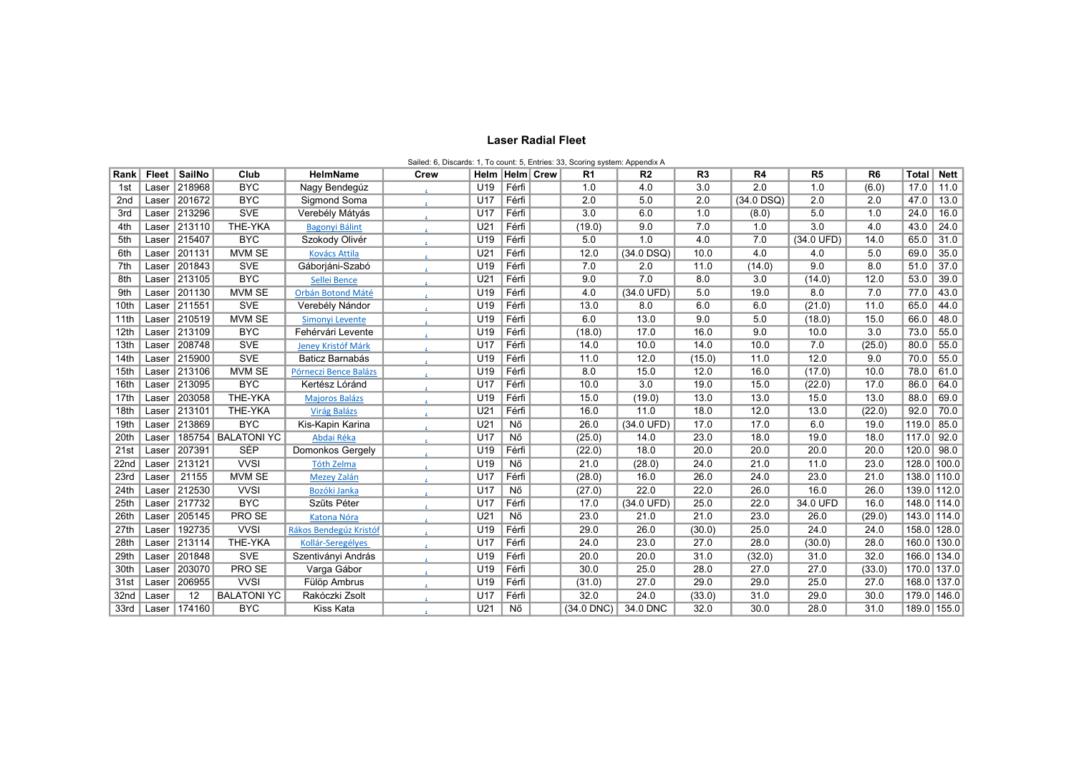#### Laser Radial Fleet

|                  | Sailed: 6, Discards: 1, To count: 5, Entries: 33, Scoring system: Appendix A |                    |                    |                           |                      |                    |       |  |                |                |                |              |                |                |               |             |
|------------------|------------------------------------------------------------------------------|--------------------|--------------------|---------------------------|----------------------|--------------------|-------|--|----------------|----------------|----------------|--------------|----------------|----------------|---------------|-------------|
| Rank             | Fleet                                                                        | SailNo             | Club               | HelmName                  | Crew                 | Helm   Helm   Crew |       |  | R <sub>1</sub> | R <sub>2</sub> | R <sub>3</sub> | R4           | R <sub>5</sub> | R <sub>6</sub> | Total         | <b>Nett</b> |
| 1st              | Laser                                                                        | 218968             | <b>BYC</b>         | Nagy Bendegúz             |                      | U19                | Férfi |  | 1.0            | 4.0            | 3.0            | 2.0          | 1.0            | (6.0)          | 17.0          | 11.0        |
| 2 <sub>nd</sub>  | Laser                                                                        | 201672             | <b>BYC</b>         | Sigmond Soma              | $\mathbf{z}_i$       | U17                | Férfi |  | 2.0            | 5.0            | 2.0            | $(34.0$ DSQ) | 2.0            | 2.0            | 47.0          | 13.0        |
| 3rd              | Laser                                                                        | 213296             | <b>SVE</b>         | Verebély Mátyás           |                      | U17                | Férfi |  | 3.0            | 6.0            | 1.0            | (8.0)        | 5.0            | 1.0            | 24.0          | 16.0        |
| 4th              | Laser                                                                        | 213110             | THE-YKA            | Bagonyi Bálint            | $\mathbf{L}$         | U21                | Férfi |  | (19.0)         | 9.0            | 7.0            | 1.0          | 3.0            | 4.0            | 43.0          | 24.0        |
| 5th              | Laser                                                                        | 215407             | <b>BYC</b>         | Szokody Olivér            |                      | U19                | Férfi |  | 5.0            | 1.0            | 4.0            | 7.0          | (34.0 UFD)     | 14.0           | 65.0          | 31.0        |
| 6th              | Laser                                                                        | $\frac{1}{201131}$ | <b>MVM SE</b>      | <b>Kovács Attila</b>      | $\mathbf{z}_i$       | U21                | Férfi |  | 12.0           | $(34.0$ DSQ)   | 10.0           | 4.0          | 4.0            | 5.0            | 69.0          | 35.0        |
| 7th              | Laser                                                                        | 201843             | <b>SVE</b>         | Gáborjáni-Szabó           |                      | U19                | Férfi |  | 7.0            | 2.0            | 11.0           | (14.0)       | 9.0            | 8.0            | 51.0          | 37.0        |
| 8th              | Laser                                                                        | 213105             | <b>BYC</b>         | Sellei Bence              | A.                   | U21                | Férfi |  | 9.0            | 7.0            | 8.0            | 3.0          | (14.0)         | 12.0           | 53.0          | 39.0        |
| 9th              | Laser                                                                        | 201130             | <b>MVM SE</b>      | Orbán Botond Máté         | $\mathbf{z}$         | U19                | Férfi |  | 4.0            | (34.0 UFD)     | 5.0            | 19.0         | 8.0            | 7.0            | 77.0          | 43.0        |
| 10th             | Laser                                                                        | 211551             | <b>SVE</b>         | Verebély Nándor           | $\Delta \tau$        | U19                | Férfi |  | 13.0           | 8.0            | 6.0            | 6.0          | (21.0)         | 11.0           | 65.0          | 44.0        |
| 11th             | Laser                                                                        | 210519             | <b>MVM SE</b>      | Simonyi Levente           |                      | U19                | Férfi |  | 6.0            | 13.0           | 9.0            | 5.0          | (18.0)         | 15.0           | 66.0          | 48.0        |
| 12 <sub>th</sub> | Laser                                                                        | 213109             | <b>BYC</b>         | Fehérvári Levente         |                      | U19                | Férfi |  | (18.0)         | 17.0           | 16.0           | 9.0          | 10.0           | 3.0            | 73.0          | 55.0        |
| 13th             | Laser                                                                        | 208748             | <b>SVE</b>         | <b>Jeney Kristóf Márk</b> |                      | U17                | Férfi |  | 14.0           | 10.0           | 14.0           | 10.0         | 7.0            | (25.0)         | 80.0          | 55.0        |
| 14th             |                                                                              | Laser 215900       | <b>SVE</b>         | Baticz Barnabás           |                      | U19                | Férfi |  | 11.0           | 12.0           | (15.0)         | 11.0         | 12.0           | 9.0            | 70.0          | 55.0        |
| 15th             | Laser                                                                        | 213106             | <b>MVM SE</b>      | Pörneczi Bence Balázs     | $\mathbf{A}$         | U19                | Férfi |  | 8.0            | 15.0           | 12.0           | 16.0         | (17.0)         | 10.0           | 78.0          | 61.0        |
| 16th             | Laser                                                                        | 213095             | <b>BYC</b>         | Kertész Lóránd            |                      | U17                | Férfi |  | 10.0           | 3.0            | 19.0           | 15.0         | (22.0)         | 17.0           | 86.0          | 64.0        |
| 17th             | Laser                                                                        | 203058             | THE-YKA            | <b>Majoros Balázs</b>     | $\mathbf{A}$         | U19                | Férfi |  | 15.0           | (19.0)         | 13.0           | 13.0         | 15.0           | 13.0           | 88.0          | 69.0        |
| 18th             | Laser                                                                        | 213101             | THE-YKA            | <b>Virág Balázs</b>       |                      | U21                | Férfi |  | 16.0           | 11.0           | 18.0           | 12.0         | 13.0           | (22.0)         | 92.0          | 70.0        |
| 19th             | Laser                                                                        | 213869             | <b>BYC</b>         | Kis-Kapin Karina          | $\mathbf{L}$         | U21                | Nő    |  | 26.0           | (34.0 UFD)     | 17.0           | 17.0         | 6.0            | 19.0           | 119.0         | 85.0        |
| 20th             | Laser                                                                        | 185754             | <b>BALATONI YC</b> | Abdai Réka                |                      | U17                | Nő    |  | (25.0)         | 14.0           | 23.0           | 18.0         | 19.0           | 18.0           | 117.0 92.0    |             |
| 21st             | Laser                                                                        | 207391             | <b>SÉP</b>         | Domonkos Gergely          |                      | U19                | Férfi |  | (22.0)         | 18.0           | 20.0           | 20.0         | 20.0           | 20.0           | 120.0 98.0    |             |
| 22nd             | Laser                                                                        | 213121             | <b>VVSI</b>        | <b>Tóth Zelma</b>         |                      | U19                | Nő    |  | 21.0           | (28.0)         | 24.0           | 21.0         | 11.0           | 23.0           | 128.0 100.0   |             |
| 23rd             | Laser                                                                        | 21155              | <b>MVM SE</b>      | Mezey Zalán               | $\mathbf{z}$         | U17                | Férfi |  | (28.0)         | 16.0           | 26.0           | 24.0         | 23.0           | 21.0           | 138.0   110.0 |             |
| 24th             | Laser                                                                        | 212530             | <b>VVSI</b>        | Bozóki Janka              | $\mathbf{z}_i$       | U17                | Nő    |  | (27.0)         | 22.0           | 22.0           | 26.0         | 16.0           | 26.0           | 139.0 112.0   |             |
| 25th             | Laser                                                                        | 217732             | <b>BYC</b>         | Szűts Péter               |                      | U17                | Férfi |  | 17.0           | (34.0 UFD)     | 25.0           | 22.0         | 34.0 UFD       | 16.0           | 148.0 114.0   |             |
| 26th             | Laser                                                                        | 205145             | PRO SE             | Katona Nóra               |                      | U <sub>21</sub>    | Nő    |  | 23.0           | 21.0           | 21.0           | 23.0         | 26.0           | (29.0)         | 143.0 114.0   |             |
| 27th             | Laser                                                                        | 192735             | <b>VVSI</b>        | Rákos Bendegúz Kristóf    |                      | U19                | Férfi |  | 29.0           | 26.0           | (30.0)         | 25.0         | 24.0           | 24.0           | 158.0 128.0   |             |
| 28th             | Laser                                                                        | 213114             | THE-YKA            | Kollár-Seregélyes         | $\mathbf{z}_i$       | U17                | Férfi |  | 24.0           | 23.0           | 27.0           | 28.0         | (30.0)         | 28.0           | 160.0 130.0   |             |
| 29th             |                                                                              | Laser   201848     | <b>SVE</b>         | Szentiványi András        |                      | U19                | Férfi |  | 20.0           | 20.0           | 31.0           | (32.0)       | 31.0           | 32.0           | 166.0 134.0   |             |
| 30th             | Laser                                                                        | 203070             | <b>PRO SE</b>      | Varga Gábor               | $\mathbf{L}_{\perp}$ | U19                | Férfi |  | 30.0           | 25.0           | 28.0           | 27.0         | 27.0           | (33.0)         | 170.0 137.0   |             |
| 31st             | Laser                                                                        | 206955             | <b>VVSI</b>        | Fülöp Ambrus              |                      | U19                | Férfi |  | (31.0)         | 27.0           | 29.0           | 29.0         | 25.0           | 27.0           | 168.0 137.0   |             |
| 32nd             | Laser                                                                        | 12                 | <b>BALATONI YC</b> | Rakóczki Zsolt            | $\mathbf{z}_i$       | U17                | Férfi |  | 32.0           | 24.0           | (33.0)         | 31.0         | 29.0           | 30.0           | 179.0 146.0   |             |
| 33rd             |                                                                              | Laser   174160     | <b>BYC</b>         | Kiss Kata                 |                      | U21                | Nő    |  | $(34.0$ DNC)   | 34.0 DNC       | 32.0           | 30.0         | 28.0           | 31.0           | 189.0 155.0   |             |